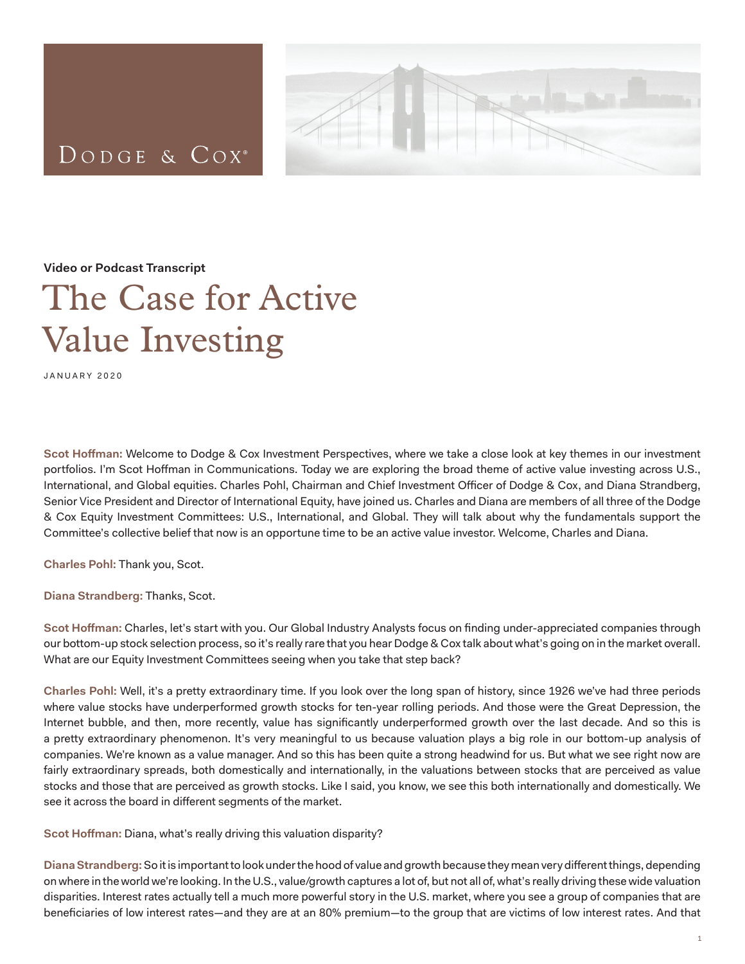## DODGE & COX<sup>®</sup>



**Video or Podcast Transcript**

## The Case for Active Value Investing

JANUARY 2020

**Scot Hoffman:** Welcome to Dodge & Cox Investment Perspectives, where we take a close look at key themes in our investment portfolios. I'm Scot Hoffman in Communications. Today we are exploring the broad theme of active value investing across U.S., International, and Global equities. Charles Pohl, Chairman and Chief Investment Officer of Dodge & Cox, and Diana Strandberg, Senior Vice President and Director of International Equity, have joined us. Charles and Diana are members of all three of the Dodge & Cox Equity Investment Committees: U.S., International, and Global. They will talk about why the fundamentals support the Committee's collective belief that now is an opportune time to be an active value investor. Welcome, Charles and Diana.

**Charles Pohl:** Thank you, Scot.

**Diana Strandberg:** Thanks, Scot.

**Scot Hoffman:** Charles, let's start with you. Our Global Industry Analysts focus on finding under-appreciated companies through our bottom-up stock selection process, so it's really rare that you hear Dodge & Cox talk about what's going on in the market overall. What are our Equity Investment Committees seeing when you take that step back?

**Charles Pohl:** Well, it's a pretty extraordinary time. If you look over the long span of history, since 1926 we've had three periods where value stocks have underperformed growth stocks for ten-year rolling periods. And those were the Great Depression, the Internet bubble, and then, more recently, value has significantly underperformed growth over the last decade. And so this is a pretty extraordinary phenomenon. It's very meaningful to us because valuation plays a big role in our bottom-up analysis of companies. We're known as a value manager. And so this has been quite a strong headwind for us. But what we see right now are fairly extraordinary spreads, both domestically and internationally, in the valuations between stocks that are perceived as value stocks and those that are perceived as growth stocks. Like I said, you know, we see this both internationally and domestically. We see it across the board in different segments of the market.

**Scot Hoffman:** Diana, what's really driving this valuation disparity?

**Diana Strandberg:** So it is important to look under the hood of value and growth because they mean very different things, depending on where in the world we're looking. In the U.S., value/growth captures a lot of, but not all of, what's really driving these wide valuation disparities. Interest rates actually tell a much more powerful story in the U.S. market, where you see a group of companies that are beneficiaries of low interest rates—and they are at an 80% premium—to the group that are victims of low interest rates. And that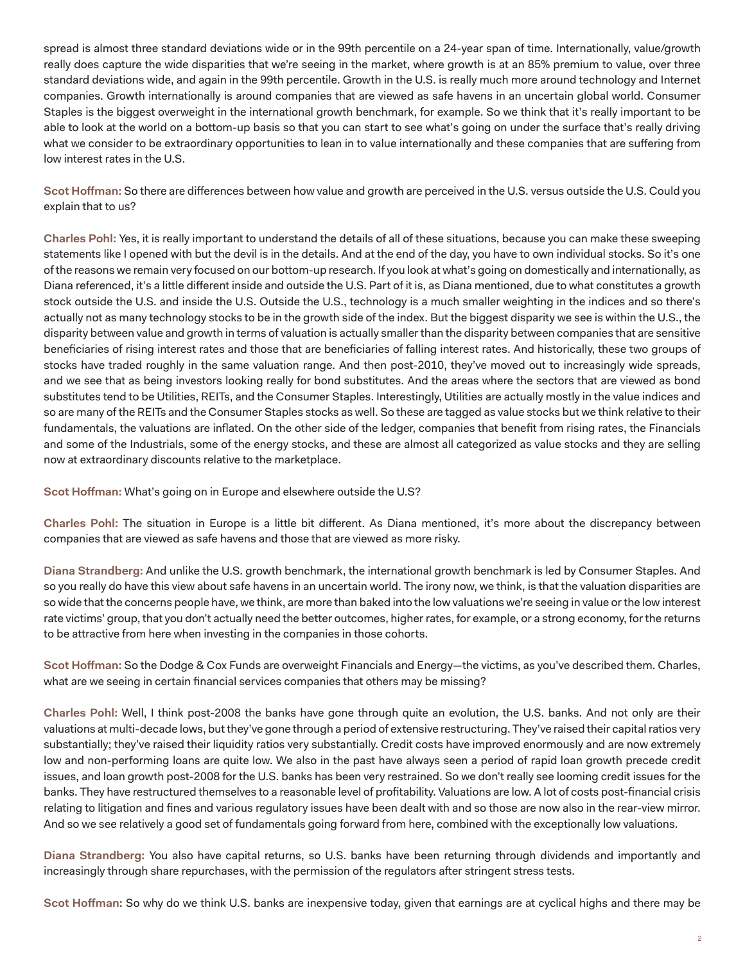spread is almost three standard deviations wide or in the 99th percentile on a 24-year span of time. Internationally, value/growth really does capture the wide disparities that we're seeing in the market, where growth is at an 85% premium to value, over three standard deviations wide, and again in the 99th percentile. Growth in the U.S. is really much more around technology and Internet companies. Growth internationally is around companies that are viewed as safe havens in an uncertain global world. Consumer Staples is the biggest overweight in the international growth benchmark, for example. So we think that it's really important to be able to look at the world on a bottom-up basis so that you can start to see what's going on under the surface that's really driving what we consider to be extraordinary opportunities to lean in to value internationally and these companies that are suffering from low interest rates in the U.S.

**Scot Hoffman:** So there are differences between how value and growth are perceived in the U.S. versus outside the U.S. Could you explain that to us?

**Charles Pohl:** Yes, it is really important to understand the details of all of these situations, because you can make these sweeping statements like I opened with but the devil is in the details. And at the end of the day, you have to own individual stocks. So it's one of the reasons we remain very focused on our bottom-up research. If you look at what's going on domestically and internationally, as Diana referenced, it's a little different inside and outside the U.S. Part of it is, as Diana mentioned, due to what constitutes a growth stock outside the U.S. and inside the U.S. Outside the U.S., technology is a much smaller weighting in the indices and so there's actually not as many technology stocks to be in the growth side of the index. But the biggest disparity we see is within the U.S., the disparity between value and growth in terms of valuation is actually smaller than the disparity between companies that are sensitive beneficiaries of rising interest rates and those that are beneficiaries of falling interest rates. And historically, these two groups of stocks have traded roughly in the same valuation range. And then post-2010, they've moved out to increasingly wide spreads, and we see that as being investors looking really for bond substitutes. And the areas where the sectors that are viewed as bond substitutes tend to be Utilities, REITs, and the Consumer Staples. Interestingly, Utilities are actually mostly in the value indices and so are many of the REITs and the Consumer Staples stocks as well. So these are tagged as value stocks but we think relative to their fundamentals, the valuations are inflated. On the other side of the ledger, companies that benefit from rising rates, the Financials and some of the Industrials, some of the energy stocks, and these are almost all categorized as value stocks and they are selling now at extraordinary discounts relative to the marketplace.

**Scot Hoffman:** What's going on in Europe and elsewhere outside the U.S?

**Charles Pohl:** The situation in Europe is a little bit different. As Diana mentioned, it's more about the discrepancy between companies that are viewed as safe havens and those that are viewed as more risky.

**Diana Strandberg:** And unlike the U.S. growth benchmark, the international growth benchmark is led by Consumer Staples. And so you really do have this view about safe havens in an uncertain world. The irony now, we think, is that the valuation disparities are so wide that the concerns people have, we think, are more than baked into the low valuations we're seeing in value or the low interest rate victims' group, that you don't actually need the better outcomes, higher rates, for example, or a strong economy, for the returns to be attractive from here when investing in the companies in those cohorts.

**Scot Hoffman:** So the Dodge & Cox Funds are overweight Financials and Energy—the victims, as you've described them. Charles, what are we seeing in certain financial services companies that others may be missing?

**Charles Pohl:** Well, I think post-2008 the banks have gone through quite an evolution, the U.S. banks. And not only are their valuations at multi-decade lows, but they've gone through a period of extensive restructuring. They've raised their capital ratios very substantially; they've raised their liquidity ratios very substantially. Credit costs have improved enormously and are now extremely low and non-performing loans are quite low. We also in the past have always seen a period of rapid loan growth precede credit issues, and loan growth post-2008 for the U.S. banks has been very restrained. So we don't really see looming credit issues for the banks. They have restructured themselves to a reasonable level of profitability. Valuations are low. A lot of costs post-financial crisis relating to litigation and fines and various regulatory issues have been dealt with and so those are now also in the rear-view mirror. And so we see relatively a good set of fundamentals going forward from here, combined with the exceptionally low valuations.

**Diana Strandberg:** You also have capital returns, so U.S. banks have been returning through dividends and importantly and increasingly through share repurchases, with the permission of the regulators after stringent stress tests.

**Scot Hoffman:** So why do we think U.S. banks are inexpensive today, given that earnings are at cyclical highs and there may be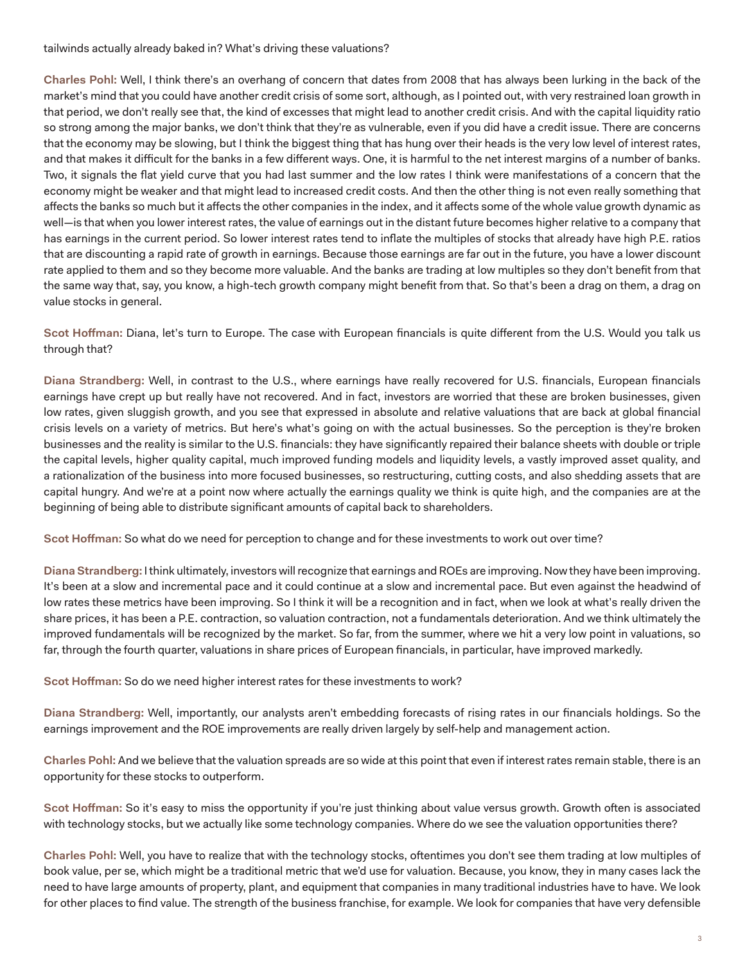tailwinds actually already baked in? What's driving these valuations?

**Charles Pohl:** Well, I think there's an overhang of concern that dates from 2008 that has always been lurking in the back of the market's mind that you could have another credit crisis of some sort, although, as I pointed out, with very restrained loan growth in that period, we don't really see that, the kind of excesses that might lead to another credit crisis. And with the capital liquidity ratio so strong among the major banks, we don't think that they're as vulnerable, even if you did have a credit issue. There are concerns that the economy may be slowing, but I think the biggest thing that has hung over their heads is the very low level of interest rates, and that makes it difficult for the banks in a few different ways. One, it is harmful to the net interest margins of a number of banks. Two, it signals the flat yield curve that you had last summer and the low rates I think were manifestations of a concern that the economy might be weaker and that might lead to increased credit costs. And then the other thing is not even really something that affects the banks so much but it affects the other companies in the index, and it affects some of the whole value growth dynamic as well—is that when you lower interest rates, the value of earnings out in the distant future becomes higher relative to a company that has earnings in the current period. So lower interest rates tend to inflate the multiples of stocks that already have high P.E. ratios that are discounting a rapid rate of growth in earnings. Because those earnings are far out in the future, you have a lower discount rate applied to them and so they become more valuable. And the banks are trading at low multiples so they don't benefit from that the same way that, say, you know, a high-tech growth company might benefit from that. So that's been a drag on them, a drag on value stocks in general.

**Scot Hoffman:** Diana, let's turn to Europe. The case with European financials is quite different from the U.S. Would you talk us through that?

**Diana Strandberg:** Well, in contrast to the U.S., where earnings have really recovered for U.S. financials, European financials earnings have crept up but really have not recovered. And in fact, investors are worried that these are broken businesses, given low rates, given sluggish growth, and you see that expressed in absolute and relative valuations that are back at global financial crisis levels on a variety of metrics. But here's what's going on with the actual businesses. So the perception is they're broken businesses and the reality is similar to the U.S. financials: they have significantly repaired their balance sheets with double or triple the capital levels, higher quality capital, much improved funding models and liquidity levels, a vastly improved asset quality, and a rationalization of the business into more focused businesses, so restructuring, cutting costs, and also shedding assets that are capital hungry. And we're at a point now where actually the earnings quality we think is quite high, and the companies are at the beginning of being able to distribute significant amounts of capital back to shareholders.

**Scot Hoffman:** So what do we need for perception to change and for these investments to work out over time?

**Diana Strandberg:** I think ultimately, investors will recognize that earnings and ROEs are improving. Now they have been improving. It's been at a slow and incremental pace and it could continue at a slow and incremental pace. But even against the headwind of low rates these metrics have been improving. So I think it will be a recognition and in fact, when we look at what's really driven the share prices, it has been a P.E. contraction, so valuation contraction, not a fundamentals deterioration. And we think ultimately the improved fundamentals will be recognized by the market. So far, from the summer, where we hit a very low point in valuations, so far, through the fourth quarter, valuations in share prices of European financials, in particular, have improved markedly.

**Scot Hoffman:** So do we need higher interest rates for these investments to work?

**Diana Strandberg:** Well, importantly, our analysts aren't embedding forecasts of rising rates in our financials holdings. So the earnings improvement and the ROE improvements are really driven largely by self-help and management action.

**Charles Pohl:** And we believe that the valuation spreads are so wide at this point that even if interest rates remain stable, there is an opportunity for these stocks to outperform.

**Scot Hoffman:** So it's easy to miss the opportunity if you're just thinking about value versus growth. Growth often is associated with technology stocks, but we actually like some technology companies. Where do we see the valuation opportunities there?

**Charles Pohl:** Well, you have to realize that with the technology stocks, oftentimes you don't see them trading at low multiples of book value, per se, which might be a traditional metric that we'd use for valuation. Because, you know, they in many cases lack the need to have large amounts of property, plant, and equipment that companies in many traditional industries have to have. We look for other places to find value. The strength of the business franchise, for example. We look for companies that have very defensible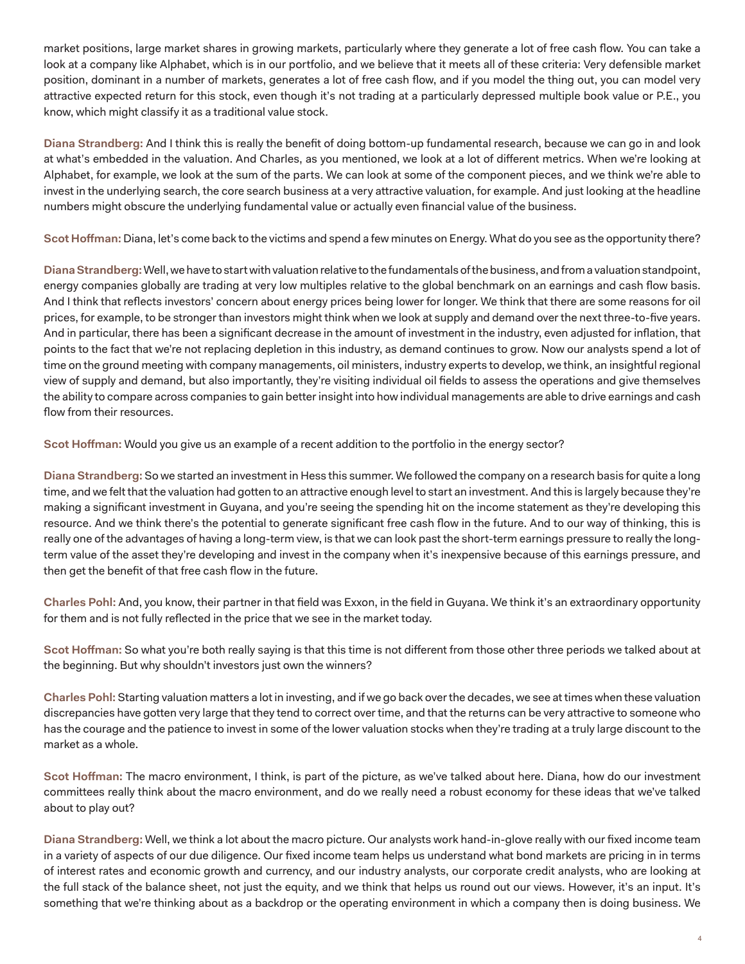market positions, large market shares in growing markets, particularly where they generate a lot of free cash flow. You can take a look at a company like Alphabet, which is in our portfolio, and we believe that it meets all of these criteria: Very defensible market position, dominant in a number of markets, generates a lot of free cash flow, and if you model the thing out, you can model very attractive expected return for this stock, even though it's not trading at a particularly depressed multiple book value or P.E., you know, which might classify it as a traditional value stock.

**Diana Strandberg:** And I think this is really the benefit of doing bottom-up fundamental research, because we can go in and look at what's embedded in the valuation. And Charles, as you mentioned, we look at a lot of different metrics. When we're looking at Alphabet, for example, we look at the sum of the parts. We can look at some of the component pieces, and we think we're able to invest in the underlying search, the core search business at a very attractive valuation, for example. And just looking at the headline numbers might obscure the underlying fundamental value or actually even financial value of the business.

**Scot Hoffman:** Diana, let's come back to the victims and spend a few minutes on Energy. What do you see as the opportunity there?

**Diana Strandberg:** Well, we have to start with valuation relative to the fundamentals of the business, and from a valuation standpoint, energy companies globally are trading at very low multiples relative to the global benchmark on an earnings and cash flow basis. And I think that reflects investors' concern about energy prices being lower for longer. We think that there are some reasons for oil prices, for example, to be stronger than investors might think when we look at supply and demand over the next three-to-five years. And in particular, there has been a significant decrease in the amount of investment in the industry, even adjusted for inflation, that points to the fact that we're not replacing depletion in this industry, as demand continues to grow. Now our analysts spend a lot of time on the ground meeting with company managements, oil ministers, industry experts to develop, we think, an insightful regional view of supply and demand, but also importantly, they're visiting individual oil fields to assess the operations and give themselves the ability to compare across companies to gain better insight into how individual managements are able to drive earnings and cash flow from their resources.

**Scot Hoffman:** Would you give us an example of a recent addition to the portfolio in the energy sector?

**Diana Strandberg:** So we started an investment in Hess this summer. We followed the company on a research basis for quite a long time, and we felt that the valuation had gotten to an attractive enough level to start an investment. And this is largely because they're making a significant investment in Guyana, and you're seeing the spending hit on the income statement as they're developing this resource. And we think there's the potential to generate significant free cash flow in the future. And to our way of thinking, this is really one of the advantages of having a long-term view, is that we can look past the short-term earnings pressure to really the longterm value of the asset they're developing and invest in the company when it's inexpensive because of this earnings pressure, and then get the benefit of that free cash flow in the future.

**Charles Pohl:** And, you know, their partner in that field was Exxon, in the field in Guyana. We think it's an extraordinary opportunity for them and is not fully reflected in the price that we see in the market today.

**Scot Hoffman:** So what you're both really saying is that this time is not different from those other three periods we talked about at the beginning. But why shouldn't investors just own the winners?

**Charles Pohl:** Starting valuation matters a lot in investing, and if we go back over the decades, we see at times when these valuation discrepancies have gotten very large that they tend to correct over time, and that the returns can be very attractive to someone who has the courage and the patience to invest in some of the lower valuation stocks when they're trading at a truly large discount to the market as a whole.

**Scot Hoffman:** The macro environment, I think, is part of the picture, as we've talked about here. Diana, how do our investment committees really think about the macro environment, and do we really need a robust economy for these ideas that we've talked about to play out?

**Diana Strandberg:** Well, we think a lot about the macro picture. Our analysts work hand-in-glove really with our fixed income team in a variety of aspects of our due diligence. Our fixed income team helps us understand what bond markets are pricing in in terms of interest rates and economic growth and currency, and our industry analysts, our corporate credit analysts, who are looking at the full stack of the balance sheet, not just the equity, and we think that helps us round out our views. However, it's an input. It's something that we're thinking about as a backdrop or the operating environment in which a company then is doing business. We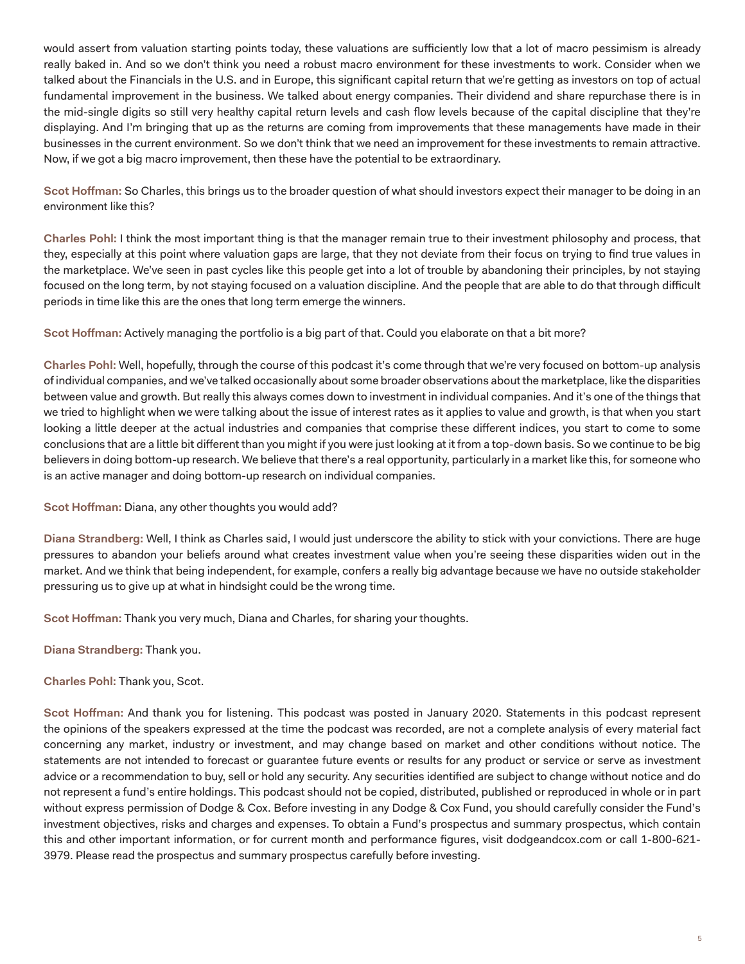would assert from valuation starting points today, these valuations are sufficiently low that a lot of macro pessimism is already really baked in. And so we don't think you need a robust macro environment for these investments to work. Consider when we talked about the Financials in the U.S. and in Europe, this significant capital return that we're getting as investors on top of actual fundamental improvement in the business. We talked about energy companies. Their dividend and share repurchase there is in the mid-single digits so still very healthy capital return levels and cash flow levels because of the capital discipline that they're displaying. And I'm bringing that up as the returns are coming from improvements that these managements have made in their businesses in the current environment. So we don't think that we need an improvement for these investments to remain attractive. Now, if we got a big macro improvement, then these have the potential to be extraordinary.

**Scot Hoffman:** So Charles, this brings us to the broader question of what should investors expect their manager to be doing in an environment like this?

**Charles Pohl:** I think the most important thing is that the manager remain true to their investment philosophy and process, that they, especially at this point where valuation gaps are large, that they not deviate from their focus on trying to find true values in the marketplace. We've seen in past cycles like this people get into a lot of trouble by abandoning their principles, by not staying focused on the long term, by not staying focused on a valuation discipline. And the people that are able to do that through difficult periods in time like this are the ones that long term emerge the winners.

**Scot Hoffman:** Actively managing the portfolio is a big part of that. Could you elaborate on that a bit more?

**Charles Pohl:** Well, hopefully, through the course of this podcast it's come through that we're very focused on bottom-up analysis of individual companies, and we've talked occasionally about some broader observations about the marketplace, like the disparities between value and growth. But really this always comes down to investment in individual companies. And it's one of the things that we tried to highlight when we were talking about the issue of interest rates as it applies to value and growth, is that when you start looking a little deeper at the actual industries and companies that comprise these different indices, you start to come to some conclusions that are a little bit different than you might if you were just looking at it from a top-down basis. So we continue to be big believers in doing bottom-up research. We believe that there's a real opportunity, particularly in a market like this, for someone who is an active manager and doing bottom-up research on individual companies.

**Scot Hoffman:** Diana, any other thoughts you would add?

**Diana Strandberg:** Well, I think as Charles said, I would just underscore the ability to stick with your convictions. There are huge pressures to abandon your beliefs around what creates investment value when you're seeing these disparities widen out in the market. And we think that being independent, for example, confers a really big advantage because we have no outside stakeholder pressuring us to give up at what in hindsight could be the wrong time.

**Scot Hoffman:** Thank you very much, Diana and Charles, for sharing your thoughts.

**Diana Strandberg:** Thank you.

**Charles Pohl:** Thank you, Scot.

**Scot Hoffman:** And thank you for listening. This podcast was posted in January 2020. Statements in this podcast represent the opinions of the speakers expressed at the time the podcast was recorded, are not a complete analysis of every material fact concerning any market, industry or investment, and may change based on market and other conditions without notice. The statements are not intended to forecast or guarantee future events or results for any product or service or serve as investment advice or a recommendation to buy, sell or hold any security. Any securities identified are subject to change without notice and do not represent a fund's entire holdings. This podcast should not be copied, distributed, published or reproduced in whole or in part without express permission of Dodge & Cox. Before investing in any Dodge & Cox Fund, you should carefully consider the Fund's investment objectives, risks and charges and expenses. To obtain a Fund's prospectus and summary prospectus, which contain this and other important information, or for current month and performance figures, visit dodgeandcox.com or call 1-800-621- 3979. Please read the prospectus and summary prospectus carefully before investing.